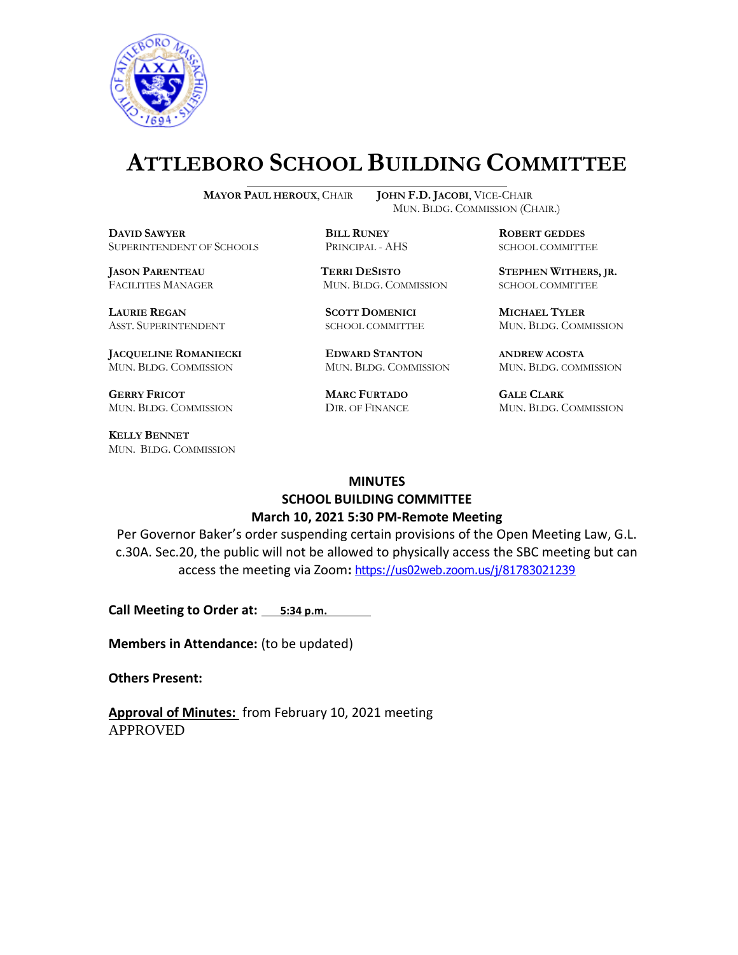

# **ATTLEBORO SCHOOL BUILDING COMMITTEE**

 $\overline{a}$ 

**DAVID SAWYER BILL RUNEY ROBERT GEDDES** SUPERINTENDENT OF SCHOOLS PRINCIPAL - AHS SCHOOL COMMITTEE

**LAURIE REGAN SCOTT DOMENICI MICHAEL TYLER**

**JACQUELINE ROMANIECKI EDWARD STANTON ANDREW ACOSTA** MUN. BLDG. COMMISSION MUN. BLDG. COMMISSION MUN. BLDG. COMMISSION

**GERRY FRICOT MARC FURTADO GALE CLARK**

**KELLY BENNET** MUN. BLDG. COMMISSION

**MAYOR PAUL HEROUX**, CHAIR **JOHN F.D. JACOBI**, VICE-CHAIR MUN. BLDG. COMMISSION (CHAIR.)

**JASON PARENTEAU TERRI DESISTO STEPHEN WITHERS, JR.** FACILITIES MANAGER MUN. BLDG. COMMISSION SCHOOL COMMITTEE

ASST. SUPERINTENDENT SCHOOL COMMITTEE MUN. BLDG. COMMISSION

MUN. BLDG. COMMISSION DIR. OF FINANCE MUN. BLDG. COMMISSION

#### **MINUTES**

# **SCHOOL BUILDING COMMITTEE March 10, 2021 5:30 PM-Remote Meeting**

Per Governor Baker's order suspending certain provisions of the Open Meeting Law, G.L. c.30A. Sec.20, the public will not be allowed to physically access the SBC meeting but can access the meeting via Zoom**:** <https://us02web.zoom.us/j/81783021239>

**Call Meeting to Order at: 5:34 p.m.** 

**Members in Attendance:** (to be updated)

**Others Present:** 

**Approval of Minutes:** from February 10, 2021 meeting APPROVED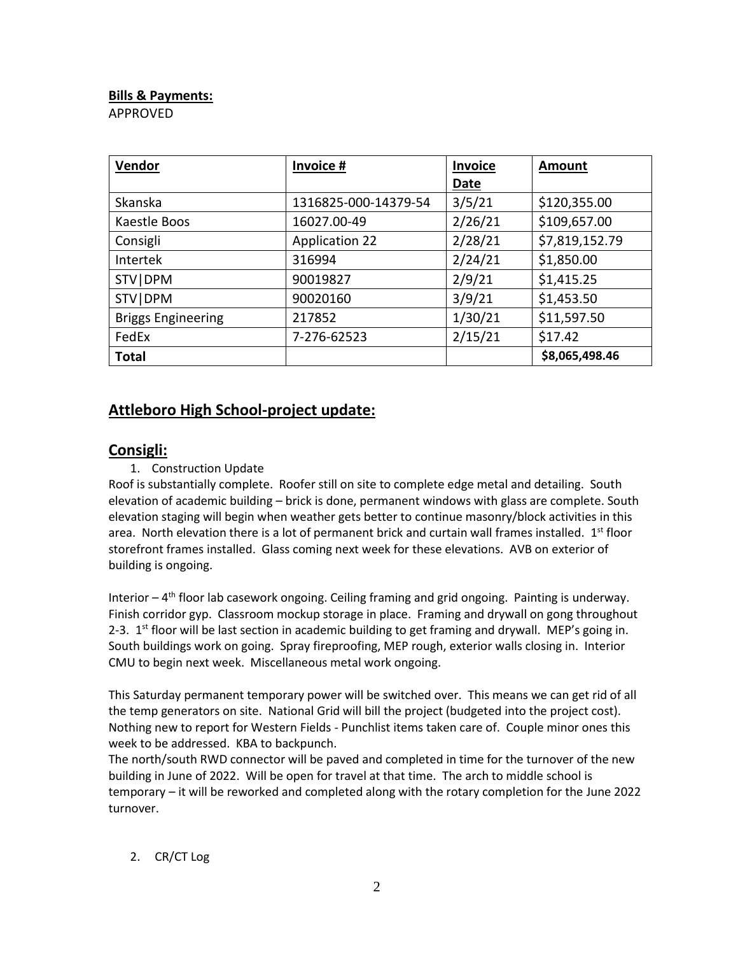### **Bills & Payments:**

APPROVED

| Vendor                    | Invoice #             | Invoice | Amount         |
|---------------------------|-----------------------|---------|----------------|
|                           |                       | Date    |                |
| Skanska                   | 1316825-000-14379-54  | 3/5/21  | \$120,355.00   |
| Kaestle Boos              | 16027.00-49           | 2/26/21 | \$109,657.00   |
| Consigli                  | <b>Application 22</b> | 2/28/21 | \$7,819,152.79 |
| Intertek                  | 316994                | 2/24/21 | \$1,850.00     |
| STV   DPM                 | 90019827              | 2/9/21  | \$1,415.25     |
| STV   DPM                 | 90020160              | 3/9/21  | \$1,453.50     |
| <b>Briggs Engineering</b> | 217852                | 1/30/21 | \$11,597.50    |
| FedEx                     | 7-276-62523           | 2/15/21 | \$17.42        |
| <b>Total</b>              |                       |         | \$8,065,498.46 |

## **Attleboro High School-project update:**

## **Consigli:**

## 1. Construction Update

Roof is substantially complete. Roofer still on site to complete edge metal and detailing. South elevation of academic building – brick is done, permanent windows with glass are complete. South elevation staging will begin when weather gets better to continue masonry/block activities in this area. North elevation there is a lot of permanent brick and curtain wall frames installed.  $1<sup>st</sup>$  floor storefront frames installed. Glass coming next week for these elevations. AVB on exterior of building is ongoing.

Interior - 4<sup>th</sup> floor lab casework ongoing. Ceiling framing and grid ongoing. Painting is underway. Finish corridor gyp. Classroom mockup storage in place. Framing and drywall on gong throughout 2-3.  $1<sup>st</sup>$  floor will be last section in academic building to get framing and drywall. MEP's going in. South buildings work on going. Spray fireproofing, MEP rough, exterior walls closing in. Interior CMU to begin next week. Miscellaneous metal work ongoing.

This Saturday permanent temporary power will be switched over. This means we can get rid of all the temp generators on site. National Grid will bill the project (budgeted into the project cost). Nothing new to report for Western Fields - Punchlist items taken care of. Couple minor ones this week to be addressed. KBA to backpunch.

The north/south RWD connector will be paved and completed in time for the turnover of the new building in June of 2022. Will be open for travel at that time. The arch to middle school is temporary – it will be reworked and completed along with the rotary completion for the June 2022 turnover.

#### 2. CR/CT Log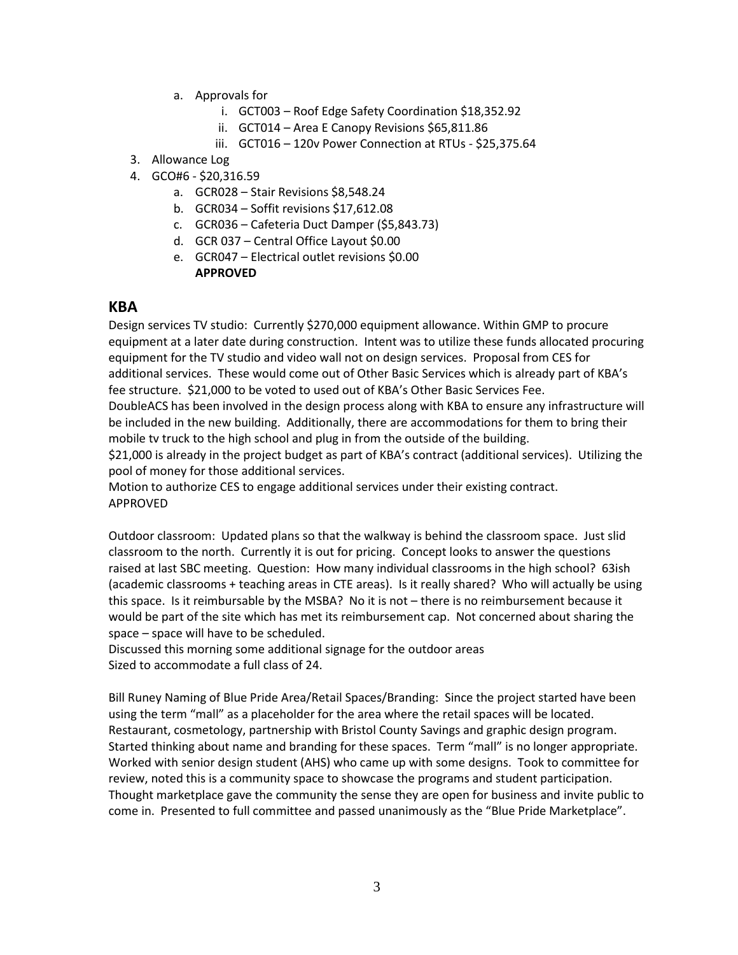- a. Approvals for
	- i. GCT003 Roof Edge Safety Coordination \$18,352.92
	- ii. GCT014 Area E Canopy Revisions \$65,811.86
	- iii. GCT016 120v Power Connection at RTUs \$25,375.64
- 3. Allowance Log
- 4. GCO#6 \$20,316.59
	- a. GCR028 Stair Revisions \$8,548.24
	- b. GCR034 Soffit revisions \$17,612.08
	- c. GCR036 Cafeteria Duct Damper (\$5,843.73)
	- d. GCR 037 Central Office Layout \$0.00
	- e. GCR047 Electrical outlet revisions \$0.00 **APPROVED**

#### **KBA**

Design services TV studio: Currently \$270,000 equipment allowance. Within GMP to procure equipment at a later date during construction. Intent was to utilize these funds allocated procuring equipment for the TV studio and video wall not on design services. Proposal from CES for additional services. These would come out of Other Basic Services which is already part of KBA's fee structure. \$21,000 to be voted to used out of KBA's Other Basic Services Fee. DoubleACS has been involved in the design process along with KBA to ensure any infrastructure will

be included in the new building. Additionally, there are accommodations for them to bring their mobile tv truck to the high school and plug in from the outside of the building.

\$21,000 is already in the project budget as part of KBA's contract (additional services). Utilizing the pool of money for those additional services.

Motion to authorize CES to engage additional services under their existing contract. APPROVED

Outdoor classroom: Updated plans so that the walkway is behind the classroom space. Just slid classroom to the north. Currently it is out for pricing. Concept looks to answer the questions raised at last SBC meeting. Question: How many individual classrooms in the high school? 63ish (academic classrooms + teaching areas in CTE areas). Is it really shared? Who will actually be using this space. Is it reimbursable by the MSBA? No it is not – there is no reimbursement because it would be part of the site which has met its reimbursement cap. Not concerned about sharing the space – space will have to be scheduled.

Discussed this morning some additional signage for the outdoor areas Sized to accommodate a full class of 24.

Bill Runey Naming of Blue Pride Area/Retail Spaces/Branding: Since the project started have been using the term "mall" as a placeholder for the area where the retail spaces will be located. Restaurant, cosmetology, partnership with Bristol County Savings and graphic design program. Started thinking about name and branding for these spaces. Term "mall" is no longer appropriate. Worked with senior design student (AHS) who came up with some designs. Took to committee for review, noted this is a community space to showcase the programs and student participation. Thought marketplace gave the community the sense they are open for business and invite public to come in. Presented to full committee and passed unanimously as the "Blue Pride Marketplace".